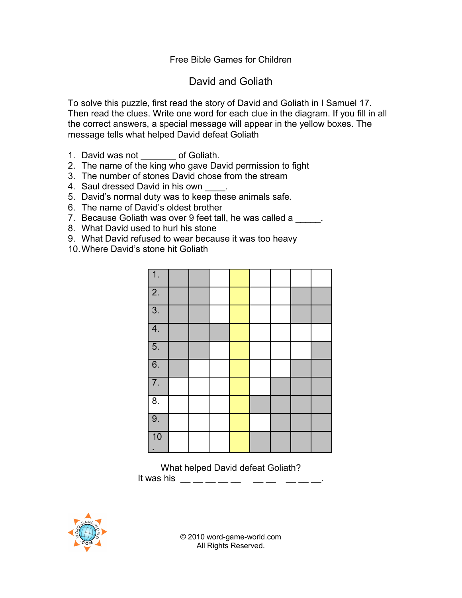## Free Bible Games for Children

## David and Goliath

To solve this puzzle, first read the story of David and Goliath in I Samuel 17. Then read the clues. Write one word for each clue in the diagram. If you fill in all the correct answers, a special message will appear in the yellow boxes. The message tells what helped David defeat Goliath

- 1. David was not \_\_\_\_\_\_\_ of Goliath.
- 2. The name of the king who gave David permission to fight
- 3. The number of stones David chose from the stream
- 4. Saul dressed David in his own \_\_\_\_.
- 5. David's normal duty was to keep these animals safe.
- 6. The name of David's oldest brother
- 7. Because Goliath was over 9 feet tall, he was called a
- 8. What David used to hurl his stone
- 9. What David refused to wear because it was too heavy
- 10.Where David's stone hit Goliath

| $\overline{1}$ . |  |  |  |  |
|------------------|--|--|--|--|
| $\overline{2}$ . |  |  |  |  |
| $\overline{3}$ . |  |  |  |  |
| $\overline{4}$ . |  |  |  |  |
| $\overline{5}$ . |  |  |  |  |
| $\overline{6}$ . |  |  |  |  |
| $\overline{7}$ . |  |  |  |  |
| $\overline{8}$ . |  |  |  |  |
| 9.               |  |  |  |  |
| 10               |  |  |  |  |

What helped David defeat Goliath? It was his \_\_ \_\_ \_\_ \_\_ \_\_ \_\_ \_\_ \_\_ \_\_ \_\_.



© 2010 word-game-world.com All Rights Reserved.